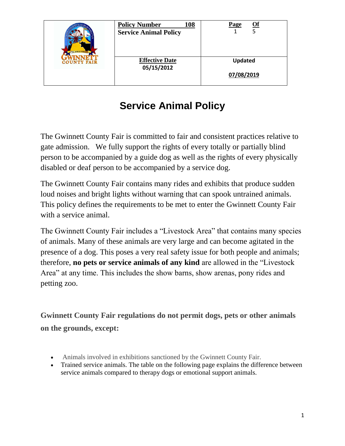| THE WORLD FAMO<br><b>COUNTY FAIR</b> | <b>Policy Number</b><br>108<br><b>Service Animal Policy</b> | Of<br>Page                   |
|--------------------------------------|-------------------------------------------------------------|------------------------------|
|                                      | <b>Effective Date</b><br>05/15/2012                         | <b>Updated</b><br>07/08/2019 |

# **Service Animal Policy**

The Gwinnett County Fair is committed to fair and consistent practices relative to gate admission. We fully support the rights of every totally or partially blind person to be accompanied by a guide dog as well as the rights of every physically disabled or deaf person to be accompanied by a service dog.

The Gwinnett County Fair contains many rides and exhibits that produce sudden loud noises and bright lights without warning that can spook untrained animals. This policy defines the requirements to be met to enter the Gwinnett County Fair with a service animal.

The Gwinnett County Fair includes a "Livestock Area" that contains many species of animals. Many of these animals are very large and can become agitated in the presence of a dog. This poses a very real safety issue for both people and animals; therefore, **no pets or service animals of any kind** are allowed in the "Livestock Area" at any time. This includes the show barns, show arenas, pony rides and petting zoo.

**Gwinnett County Fair regulations do not permit dogs, pets or other animals on the grounds, except:**

- Animals involved in exhibitions sanctioned by the Gwinnett County Fair.
- Trained service animals. The table on the following page explains the difference between service animals compared to therapy dogs or emotional support animals.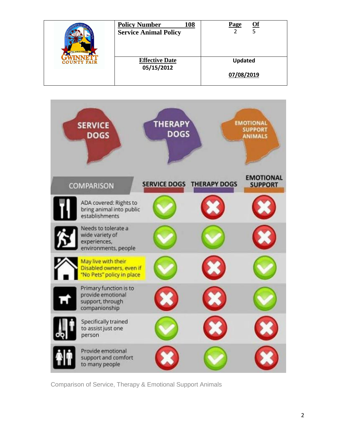| <b>Effective Date</b><br><b>Updated</b><br><b>COUNTY FAIR</b><br>05/15/2012 | THE WORLD FAMOU | <b>Policy Number</b><br>108<br><b>Service Animal Policy</b> | <u>Of</u><br>Page |
|-----------------------------------------------------------------------------|-----------------|-------------------------------------------------------------|-------------------|
|                                                                             |                 |                                                             | 07/08/2019        |



Comparison of Service, Therapy & Emotional Support Animals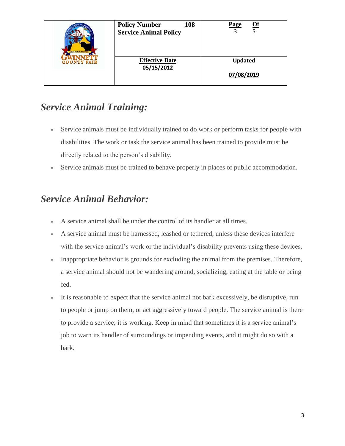| THE WORLD FAMOU<br><b>COUNTY FAIR</b> | <b>Policy Number</b><br>108<br><b>Service Animal Policy</b> | Of<br>Page     |
|---------------------------------------|-------------------------------------------------------------|----------------|
|                                       | <b>Effective Date</b><br>05/15/2012                         | <b>Updated</b> |
|                                       |                                                             | 07/08/2019     |

## *Service Animal Training:*

- Service animals must be individually trained to do work or perform tasks for people with disabilities. The work or task the service animal has been trained to provide must be directly related to the person's disability.
- Service animals must be trained to behave properly in places of public accommodation.

#### *Service Animal Behavior:*

- A service animal shall be under the control of its handler at all times.
- A service animal must be harnessed, leashed or tethered, unless these devices interfere with the service animal's work or the individual's disability prevents using these devices.
- Inappropriate behavior is grounds for excluding the animal from the premises. Therefore, a service animal should not be wandering around, socializing, eating at the table or being fed.
- It is reasonable to expect that the service animal not bark excessively, be disruptive, run to people or jump on them, or act aggressively toward people. The service animal is there to provide a service; it is working. Keep in mind that sometimes it is a service animal's job to warn its handler of surroundings or impending events, and it might do so with a bark.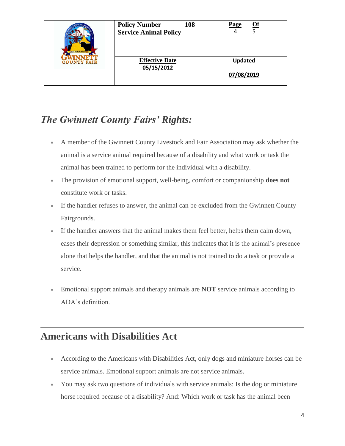| THE WORLD FAMOUS<br><b>COUNTY FAIR</b> | <b>Policy Number</b><br>108<br><b>Service Animal Policy</b> | Of<br>Page     |
|----------------------------------------|-------------------------------------------------------------|----------------|
|                                        | <b>Effective Date</b><br>05/15/2012                         | <b>Updated</b> |
|                                        |                                                             | 07/08/2019     |

### *The Gwinnett County Fairs' Rights:*

- A member of the Gwinnett County Livestock and Fair Association may ask whether the animal is a service animal required because of a disability and what work or task the animal has been trained to perform for the individual with a disability.
- The provision of emotional support, well-being, comfort or companionship **does not** constitute work or tasks.
- If the handler refuses to answer, the animal can be excluded from the Gwinnett County Fairgrounds.
- If the handler answers that the animal makes them feel better, helps them calm down, eases their depression or something similar, this indicates that it is the animal's presence alone that helps the handler, and that the animal is not trained to do a task or provide a service.
- Emotional support animals and therapy animals are **NOT** service animals according to ADA's definition.

### **Americans with Disabilities Act**

- According to the Americans with Disabilities Act, only dogs and miniature horses can be service animals. Emotional support animals are not service animals.
- You may ask two questions of individuals with service animals: Is the dog or miniature horse required because of a disability? And: Which work or task has the animal been